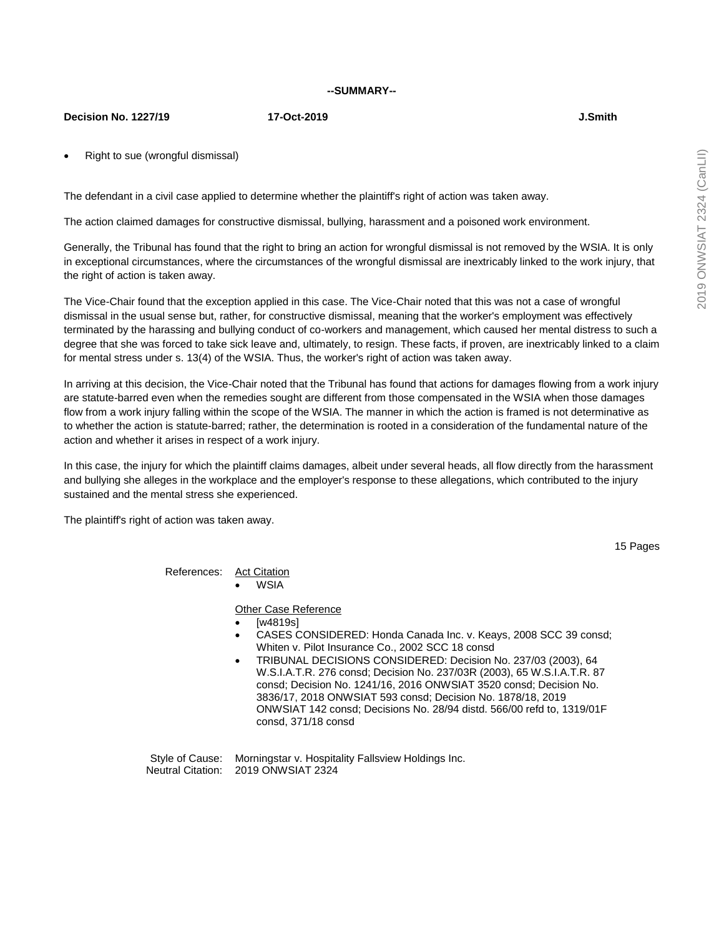#### **--SUMMARY--**

#### **Decision No. 1227/19 17-Oct-2019 J.Smith**

Right to sue (wrongful dismissal)

The defendant in a civil case applied to determine whether the plaintiff's right of action was taken away.

The action claimed damages for constructive dismissal, bullying, harassment and a poisoned work environment.

Generally, the Tribunal has found that the right to bring an action for wrongful dismissal is not removed by the WSIA. It is only in exceptional circumstances, where the circumstances of the wrongful dismissal are inextricably linked to the work injury, that the right of action is taken away.

The Vice-Chair found that the exception applied in this case. The Vice-Chair noted that this was not a case of wrongful dismissal in the usual sense but, rather, for constructive dismissal, meaning that the worker's employment was effectively terminated by the harassing and bullying conduct of co-workers and management, which caused her mental distress to such a degree that she was forced to take sick leave and, ultimately, to resign. These facts, if proven, are inextricably linked to a claim for mental stress under s. 13(4) of the WSIA. Thus, the worker's right of action was taken away.

In arriving at this decision, the Vice-Chair noted that the Tribunal has found that actions for damages flowing from a work injury are statute-barred even when the remedies sought are different from those compensated in the WSIA when those damages flow from a work injury falling within the scope of the WSIA. The manner in which the action is framed is not determinative as to whether the action is statute-barred; rather, the determination is rooted in a consideration of the fundamental nature of the action and whether it arises in respect of a work injury.

In this case, the injury for which the plaintiff claims damages, albeit under several heads, all flow directly from the harassment and bullying she alleges in the workplace and the employer's response to these allegations, which contributed to the injury sustained and the mental stress she experienced.

The plaintiff's right of action was taken away.

15 Pages

References: Act Citation

WSIA

**Other Case Reference** 

- [w4819s]
- CASES CONSIDERED: Honda Canada Inc. v. Keays, 2008 SCC 39 consd; Whiten v. Pilot Insurance Co., 2002 SCC 18 consd
- TRIBUNAL DECISIONS CONSIDERED: Decision No. 237/03 (2003), 64 W.S.I.A.T.R. 276 consd; Decision No. 237/03R (2003), 65 W.S.I.A.T.R. 87 consd; Decision No. 1241/16, 2016 ONWSIAT 3520 consd; Decision No. 3836/17, 2018 ONWSIAT 593 consd; Decision No. 1878/18, 2019 ONWSIAT 142 consd; Decisions No. 28/94 distd. 566/00 refd to, 1319/01F consd, 371/18 consd

Style of Cause: Morningstar v. Hospitality Fallsview Holdings Inc. Neutral Citation: 2019 ONWSIAT 2324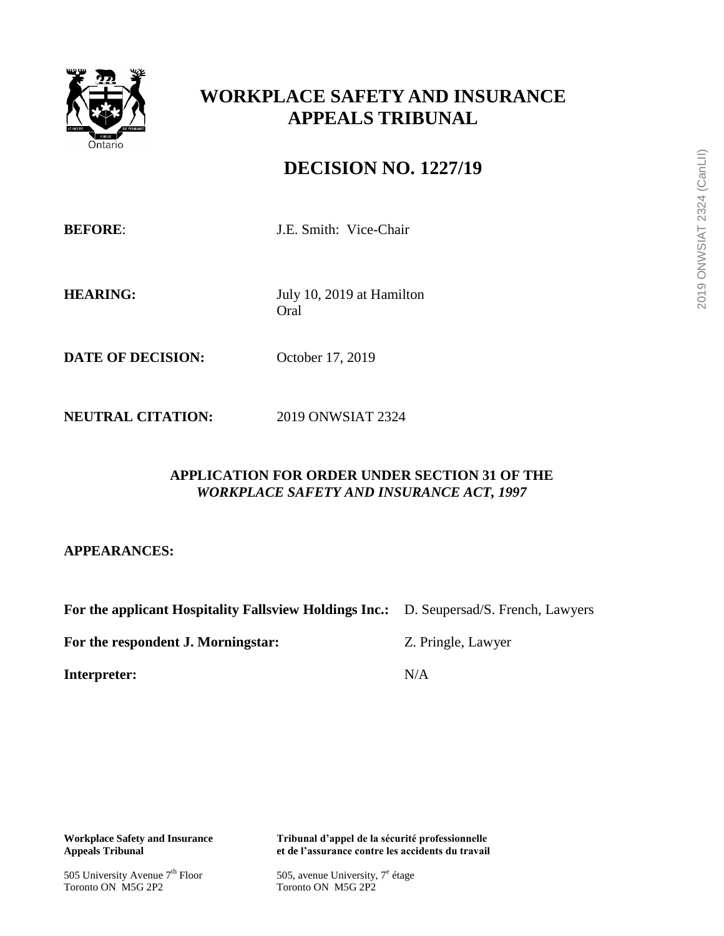

# **WORKPLACE SAFETY AND INSURANCE APPEALS TRIBUNAL**

# **DECISION NO. 1227/19**

**BEFORE:** J.E. Smith: Vice-Chair

**HEARING:** July 10, 2019 at Hamilton Oral

**DATE OF DECISION:** October 17, 2019

**NEUTRAL CITATION:** 2019 ONWSIAT 2324

## **APPLICATION FOR ORDER UNDER SECTION 31 OF THE**  *WORKPLACE SAFETY AND INSURANCE ACT, 1997*

**APPEARANCES:**

**For the applicant Hospitality Fallsview Holdings Inc.:** D. Seupersad/S. French, Lawyers

For the respondent J. Morningstar: **Example 2. Pringle, Lawyer** 

**Interpreter:** N/A

505 University Avenue  $7<sup>th</sup>$  Floor<br>Toronto ON M5G 2P2

**Workplace Safety and Insurance Tribunal d'appel de la sécurité professionnelle** et de l'assurance contre les accidents du travail

> 505, avenue University,  $7^e$  étage Toronto ON M5G 2P2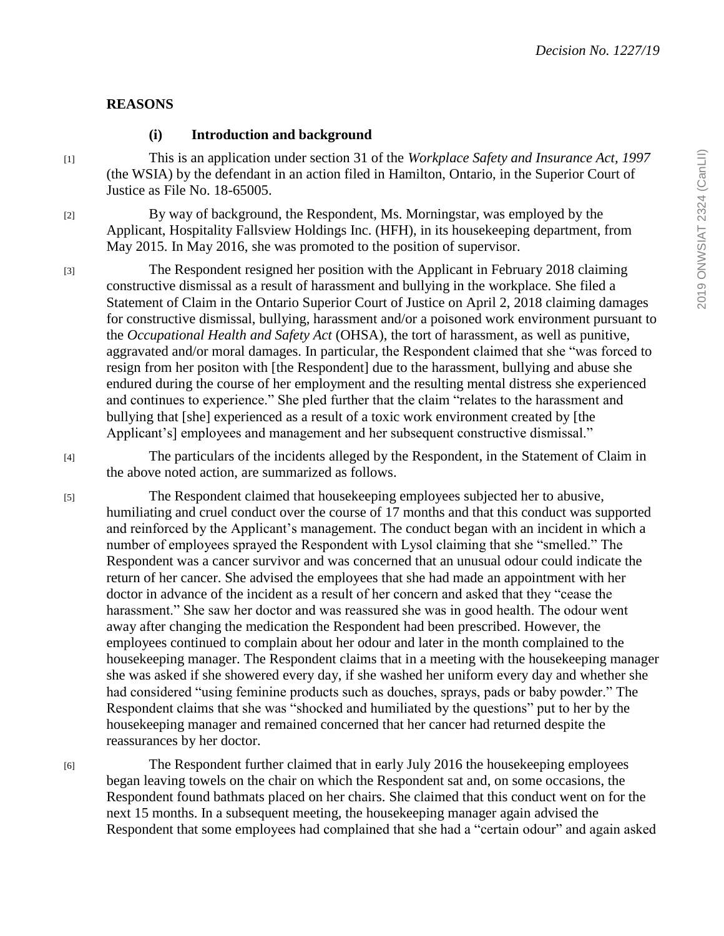## **REASONS**

# **(i) Introduction and background**

[1] This is an application under section 31 of the *Workplace Safety and Insurance Act, 1997* (the WSIA) by the defendant in an action filed in Hamilton, Ontario, in the Superior Court of Justice as File No. 18-65005.

[2] By way of background, the Respondent, Ms. Morningstar, was employed by the Applicant, Hospitality Fallsview Holdings Inc. (HFH), in its housekeeping department, from May 2015. In May 2016, she was promoted to the position of supervisor.

[3] The Respondent resigned her position with the Applicant in February 2018 claiming constructive dismissal as a result of harassment and bullying in the workplace. She filed a Statement of Claim in the Ontario Superior Court of Justice on April 2, 2018 claiming damages for constructive dismissal, bullying, harassment and/or a poisoned work environment pursuant to the *Occupational Health and Safety Act* (OHSA), the tort of harassment, as well as punitive, aggravated and/or moral damages. In particular, the Respondent claimed that she "was forced to resign from her positon with [the Respondent] due to the harassment, bullying and abuse she endured during the course of her employment and the resulting mental distress she experienced and continues to experience." She pled further that the claim "relates to the harassment and bullying that [she] experienced as a result of a toxic work environment created by [the Applicant's] employees and management and her subsequent constructive dismissal."

[4] The particulars of the incidents alleged by the Respondent, in the Statement of Claim in the above noted action, are summarized as follows.

[5] The Respondent claimed that housekeeping employees subjected her to abusive, humiliating and cruel conduct over the course of 17 months and that this conduct was supported and reinforced by the Applicant's management. The conduct began with an incident in which a number of employees sprayed the Respondent with Lysol claiming that she "smelled." The Respondent was a cancer survivor and was concerned that an unusual odour could indicate the return of her cancer. She advised the employees that she had made an appointment with her doctor in advance of the incident as a result of her concern and asked that they "cease the harassment." She saw her doctor and was reassured she was in good health. The odour went away after changing the medication the Respondent had been prescribed. However, the employees continued to complain about her odour and later in the month complained to the housekeeping manager. The Respondent claims that in a meeting with the housekeeping manager she was asked if she showered every day, if she washed her uniform every day and whether she had considered "using feminine products such as douches, sprays, pads or baby powder." The Respondent claims that she was "shocked and humiliated by the questions" put to her by the housekeeping manager and remained concerned that her cancer had returned despite the reassurances by her doctor.

[6] The Respondent further claimed that in early July 2016 the housekeeping employees began leaving towels on the chair on which the Respondent sat and, on some occasions, the Respondent found bathmats placed on her chairs. She claimed that this conduct went on for the next 15 months. In a subsequent meeting, the housekeeping manager again advised the Respondent that some employees had complained that she had a "certain odour" and again asked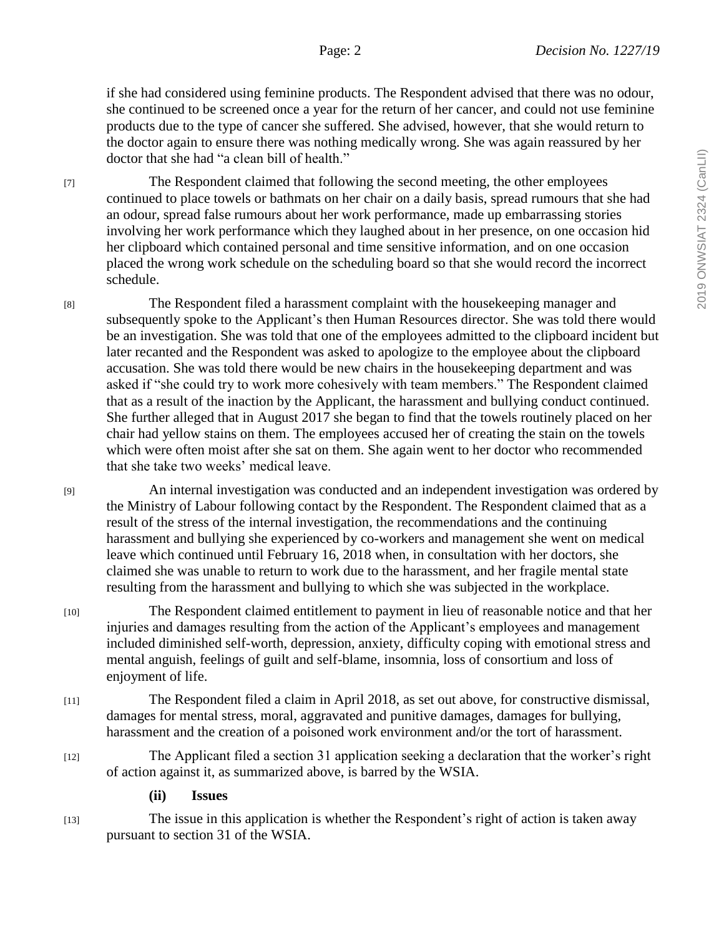if she had considered using feminine products. The Respondent advised that there was no odour, she continued to be screened once a year for the return of her cancer, and could not use feminine products due to the type of cancer she suffered. She advised, however, that she would return to the doctor again to ensure there was nothing medically wrong. She was again reassured by her doctor that she had "a clean bill of health."

[7] The Respondent claimed that following the second meeting, the other employees continued to place towels or bathmats on her chair on a daily basis, spread rumours that she had an odour, spread false rumours about her work performance, made up embarrassing stories involving her work performance which they laughed about in her presence, on one occasion hid her clipboard which contained personal and time sensitive information, and on one occasion placed the wrong work schedule on the scheduling board so that she would record the incorrect schedule.

[8] The Respondent filed a harassment complaint with the housekeeping manager and subsequently spoke to the Applicant's then Human Resources director. She was told there would be an investigation. She was told that one of the employees admitted to the clipboard incident but later recanted and the Respondent was asked to apologize to the employee about the clipboard accusation. She was told there would be new chairs in the housekeeping department and was asked if "she could try to work more cohesively with team members." The Respondent claimed that as a result of the inaction by the Applicant, the harassment and bullying conduct continued. She further alleged that in August 2017 she began to find that the towels routinely placed on her chair had yellow stains on them. The employees accused her of creating the stain on the towels which were often moist after she sat on them. She again went to her doctor who recommended that she take two weeks' medical leave.

[9] An internal investigation was conducted and an independent investigation was ordered by the Ministry of Labour following contact by the Respondent. The Respondent claimed that as a result of the stress of the internal investigation, the recommendations and the continuing harassment and bullying she experienced by co-workers and management she went on medical leave which continued until February 16, 2018 when, in consultation with her doctors, she claimed she was unable to return to work due to the harassment, and her fragile mental state resulting from the harassment and bullying to which she was subjected in the workplace.

[10] The Respondent claimed entitlement to payment in lieu of reasonable notice and that her injuries and damages resulting from the action of the Applicant's employees and management included diminished self-worth, depression, anxiety, difficulty coping with emotional stress and mental anguish, feelings of guilt and self-blame, insomnia, loss of consortium and loss of enjoyment of life.

- [11] The Respondent filed a claim in April 2018, as set out above, for constructive dismissal, damages for mental stress, moral, aggravated and punitive damages, damages for bullying, harassment and the creation of a poisoned work environment and/or the tort of harassment.
- [12] The Applicant filed a section 31 application seeking a declaration that the worker's right of action against it, as summarized above, is barred by the WSIA.
	- **(ii) Issues**

[13] The issue in this application is whether the Respondent's right of action is taken away pursuant to section 31 of the WSIA.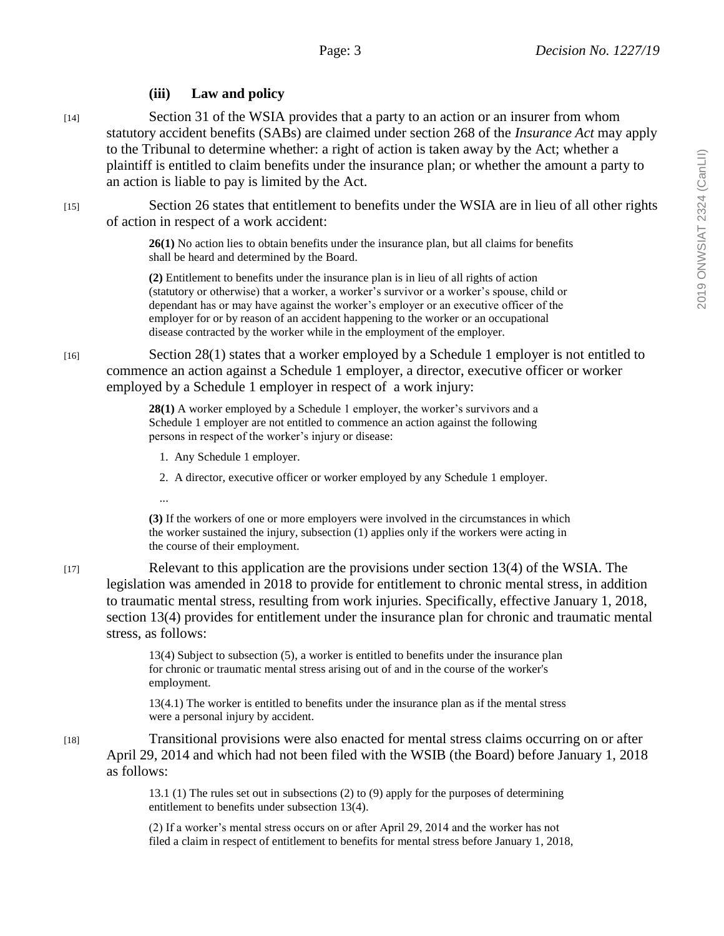# **(iii) Law and policy**

[14] Section 31 of the WSIA provides that a party to an action or an insurer from whom statutory accident benefits (SABs) are claimed under section 268 of the *Insurance Act* may apply to the Tribunal to determine whether: a right of action is taken away by the Act; whether a plaintiff is entitled to claim benefits under the insurance plan; or whether the amount a party to an action is liable to pay is limited by the Act.

[15] Section 26 states that entitlement to benefits under the WSIA are in lieu of all other rights of action in respect of a work accident:

> **26(1)** No action lies to obtain benefits under the insurance plan, but all claims for benefits shall be heard and determined by the Board.

**(2)** Entitlement to benefits under the insurance plan is in lieu of all rights of action (statutory or otherwise) that a worker, a worker's survivor or a worker's spouse, child or dependant has or may have against the worker's employer or an executive officer of the employer for or by reason of an accident happening to the worker or an occupational disease contracted by the worker while in the employment of the employer.

[16] Section 28(1) states that a worker employed by a Schedule 1 employer is not entitled to commence an action against a Schedule 1 employer, a director, executive officer or worker employed by a Schedule 1 employer in respect of a work injury:

> **28(1)** A worker employed by a Schedule 1 employer, the worker's survivors and a Schedule 1 employer are not entitled to commence an action against the following persons in respect of the worker's injury or disease:

1. Any Schedule 1 employer.

2. A director, executive officer or worker employed by any Schedule 1 employer.

...

**(3)** If the workers of one or more employers were involved in the circumstances in which the worker sustained the injury, subsection (1) applies only if the workers were acting in the course of their employment.

[17] Relevant to this application are the provisions under section 13(4) of the WSIA. The legislation was amended in 2018 to provide for entitlement to chronic mental stress, in addition to traumatic mental stress, resulting from work injuries. Specifically, effective January 1, 2018, section 13(4) provides for entitlement under the insurance plan for chronic and traumatic mental stress, as follows:

> 13(4) Subject to subsection (5), a worker is entitled to benefits under the insurance plan for chronic or traumatic mental stress arising out of and in the course of the worker's employment.

> 13(4.1) The worker is entitled to benefits under the insurance plan as if the mental stress were a personal injury by accident.

[18] Transitional provisions were also enacted for mental stress claims occurring on or after April 29, 2014 and which had not been filed with the WSIB (the Board) before January 1, 2018 as follows:

> 13.1 (1) The rules set out in subsections (2) to (9) apply for the purposes of determining entitlement to benefits under subsection 13(4).

(2) If a worker's mental stress occurs on or after April 29, 2014 and the worker has not filed a claim in respect of entitlement to benefits for mental stress before January 1, 2018,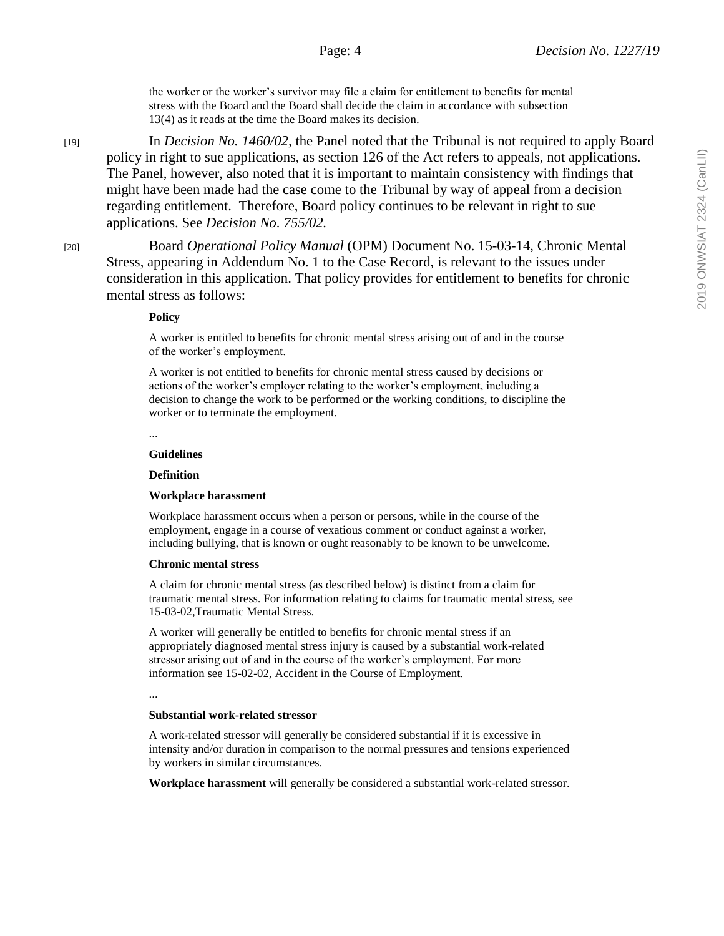the worker or the worker's survivor may file a claim for entitlement to benefits for mental stress with the Board and the Board shall decide the claim in accordance with subsection 13(4) as it reads at the time the Board makes its decision.

[19] In *Decision No. 1460/02,* the Panel noted that the Tribunal is not required to apply Board policy in right to sue applications, as section 126 of the Act refers to appeals, not applications. The Panel, however, also noted that it is important to maintain consistency with findings that might have been made had the case come to the Tribunal by way of appeal from a decision regarding entitlement. Therefore, Board policy continues to be relevant in right to sue applications. See *Decision No. 755/02.*

[20] Board *Operational Policy Manual* (OPM) Document No. 15-03-14, Chronic Mental Stress, appearing in Addendum No. 1 to the Case Record, is relevant to the issues under consideration in this application. That policy provides for entitlement to benefits for chronic mental stress as follows:

### **Policy**

A worker is entitled to benefits for chronic mental stress arising out of and in the course of the worker's employment.

A worker is not entitled to benefits for chronic mental stress caused by decisions or actions of the worker's employer relating to the worker's employment, including a decision to change the work to be performed or the working conditions, to discipline the worker or to terminate the employment.

...

### **Guidelines**

### **Definition**

### **Workplace harassment**

Workplace harassment occurs when a person or persons, while in the course of the employment, engage in a course of vexatious comment or conduct against a worker, including bullying, that is known or ought reasonably to be known to be unwelcome.

#### **Chronic mental stress**

A claim for chronic mental stress (as described below) is distinct from a claim for traumatic mental stress. For information relating to claims for traumatic mental stress, see 15-03-02,Traumatic Mental Stress.

A worker will generally be entitled to benefits for chronic mental stress if an appropriately diagnosed mental stress injury is caused by a substantial work-related stressor arising out of and in the course of the worker's employment. For more information see 15-02-02, Accident in the Course of Employment.

...

### **Substantial work-related stressor**

A work-related stressor will generally be considered substantial if it is excessive in intensity and/or duration in comparison to the normal pressures and tensions experienced by workers in similar circumstances.

**Workplace harassment** will generally be considered a substantial work-related stressor.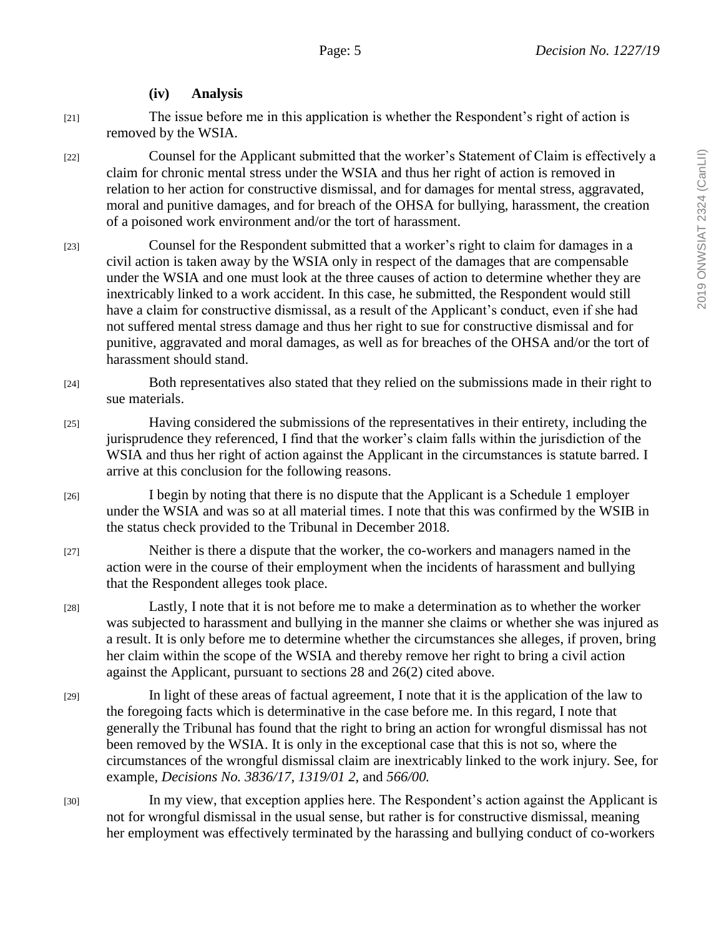**(iv) Analysis**

[21] The issue before me in this application is whether the Respondent's right of action is removed by the WSIA.

[22] Counsel for the Applicant submitted that the worker's Statement of Claim is effectively a claim for chronic mental stress under the WSIA and thus her right of action is removed in relation to her action for constructive dismissal, and for damages for mental stress, aggravated, moral and punitive damages, and for breach of the OHSA for bullying, harassment, the creation of a poisoned work environment and/or the tort of harassment.

[23] Counsel for the Respondent submitted that a worker's right to claim for damages in a civil action is taken away by the WSIA only in respect of the damages that are compensable under the WSIA and one must look at the three causes of action to determine whether they are inextricably linked to a work accident. In this case, he submitted, the Respondent would still have a claim for constructive dismissal, as a result of the Applicant's conduct, even if she had not suffered mental stress damage and thus her right to sue for constructive dismissal and for punitive, aggravated and moral damages, as well as for breaches of the OHSA and/or the tort of harassment should stand.

- [24] Both representatives also stated that they relied on the submissions made in their right to sue materials.
- [25] Having considered the submissions of the representatives in their entirety, including the jurisprudence they referenced, I find that the worker's claim falls within the jurisdiction of the WSIA and thus her right of action against the Applicant in the circumstances is statute barred. I arrive at this conclusion for the following reasons.
- [26] I begin by noting that there is no dispute that the Applicant is a Schedule 1 employer under the WSIA and was so at all material times. I note that this was confirmed by the WSIB in the status check provided to the Tribunal in December 2018.
- [27] Neither is there a dispute that the worker, the co-workers and managers named in the action were in the course of their employment when the incidents of harassment and bullying that the Respondent alleges took place.

[28] Lastly, I note that it is not before me to make a determination as to whether the worker was subjected to harassment and bullying in the manner she claims or whether she was injured as a result. It is only before me to determine whether the circumstances she alleges, if proven, bring her claim within the scope of the WSIA and thereby remove her right to bring a civil action against the Applicant, pursuant to sections 28 and 26(2) cited above.

- [29] In light of these areas of factual agreement, I note that it is the application of the law to the foregoing facts which is determinative in the case before me. In this regard, I note that generally the Tribunal has found that the right to bring an action for wrongful dismissal has not been removed by the WSIA. It is only in the exceptional case that this is not so, where the circumstances of the wrongful dismissal claim are inextricably linked to the work injury. See, for example, *Decisions No. 3836/17, 1319/01 2*, and *566/00.*
- [30] In my view, that exception applies here. The Respondent's action against the Applicant is not for wrongful dismissal in the usual sense, but rather is for constructive dismissal, meaning her employment was effectively terminated by the harassing and bullying conduct of co-workers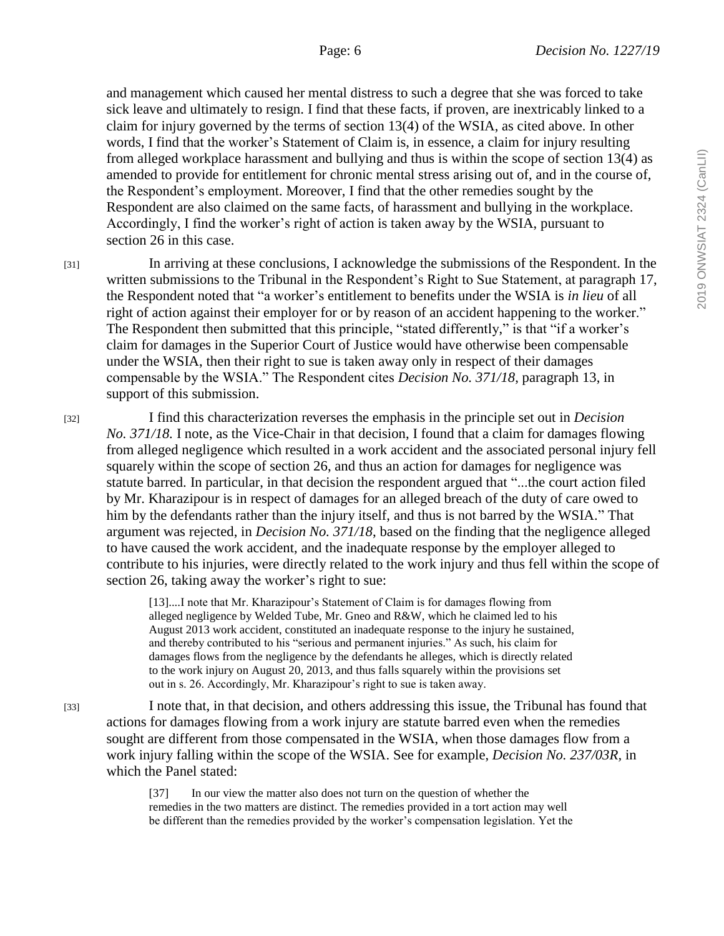and management which caused her mental distress to such a degree that she was forced to take sick leave and ultimately to resign. I find that these facts, if proven, are inextricably linked to a claim for injury governed by the terms of section 13(4) of the WSIA, as cited above. In other words, I find that the worker's Statement of Claim is, in essence, a claim for injury resulting from alleged workplace harassment and bullying and thus is within the scope of section 13(4) as amended to provide for entitlement for chronic mental stress arising out of, and in the course of, the Respondent's employment. Moreover, I find that the other remedies sought by the Respondent are also claimed on the same facts, of harassment and bullying in the workplace. Accordingly, I find the worker's right of action is taken away by the WSIA, pursuant to section 26 in this case.

[31] In arriving at these conclusions, I acknowledge the submissions of the Respondent. In the written submissions to the Tribunal in the Respondent's Right to Sue Statement, at paragraph 17, the Respondent noted that "a worker's entitlement to benefits under the WSIA is *in lieu* of all right of action against their employer for or by reason of an accident happening to the worker." The Respondent then submitted that this principle, "stated differently," is that "if a worker's claim for damages in the Superior Court of Justice would have otherwise been compensable under the WSIA, then their right to sue is taken away only in respect of their damages compensable by the WSIA." The Respondent cites *Decision No. 371/18*, paragraph 13, in support of this submission.

[32] I find this characterization reverses the emphasis in the principle set out in *Decision No. 371/18.* I note, as the Vice-Chair in that decision, I found that a claim for damages flowing from alleged negligence which resulted in a work accident and the associated personal injury fell squarely within the scope of section 26, and thus an action for damages for negligence was statute barred. In particular, in that decision the respondent argued that "...the court action filed by Mr. Kharazipour is in respect of damages for an alleged breach of the duty of care owed to him by the defendants rather than the injury itself, and thus is not barred by the WSIA." That argument was rejected, in *Decision No. 371/18*, based on the finding that the negligence alleged to have caused the work accident, and the inadequate response by the employer alleged to contribute to his injuries, were directly related to the work injury and thus fell within the scope of section 26, taking away the worker's right to sue:

> [13]....I note that Mr. Kharazipour's Statement of Claim is for damages flowing from alleged negligence by Welded Tube, Mr. Gneo and R&W, which he claimed led to his August 2013 work accident, constituted an inadequate response to the injury he sustained, and thereby contributed to his "serious and permanent injuries." As such, his claim for damages flows from the negligence by the defendants he alleges, which is directly related to the work injury on August 20, 2013, and thus falls squarely within the provisions set out in s. 26. Accordingly, Mr. Kharazipour's right to sue is taken away.

[33] I note that, in that decision, and others addressing this issue, the Tribunal has found that actions for damages flowing from a work injury are statute barred even when the remedies sought are different from those compensated in the WSIA, when those damages flow from a work injury falling within the scope of the WSIA. See for example, *Decision No. 237/03R,* in which the Panel stated:

> [37] In our view the matter also does not turn on the question of whether the remedies in the two matters are distinct. The remedies provided in a tort action may well be different than the remedies provided by the worker's compensation legislation. Yet the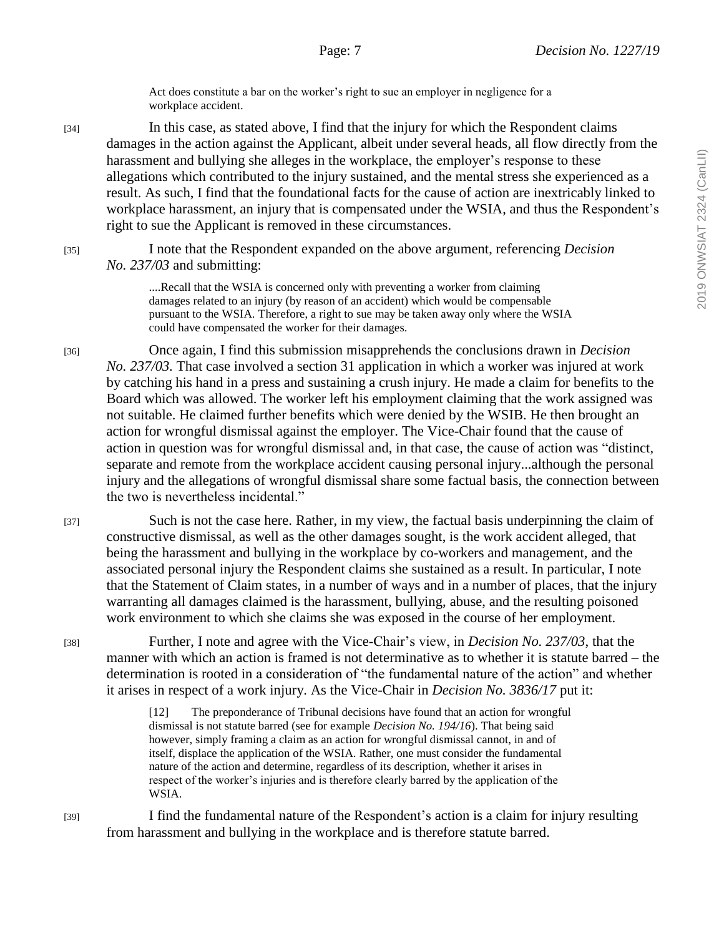Act does constitute a bar on the worker's right to sue an employer in negligence for a workplace accident.

[34] In this case, as stated above, I find that the injury for which the Respondent claims damages in the action against the Applicant, albeit under several heads, all flow directly from the harassment and bullying she alleges in the workplace, the employer's response to these allegations which contributed to the injury sustained, and the mental stress she experienced as a result. As such, I find that the foundational facts for the cause of action are inextricably linked to workplace harassment, an injury that is compensated under the WSIA, and thus the Respondent's right to sue the Applicant is removed in these circumstances.

[35] I note that the Respondent expanded on the above argument, referencing *Decision No. 237/03* and submitting:

> ....Recall that the WSIA is concerned only with preventing a worker from claiming damages related to an injury (by reason of an accident) which would be compensable pursuant to the WSIA. Therefore, a right to sue may be taken away only where the WSIA could have compensated the worker for their damages.

[36] Once again, I find this submission misapprehends the conclusions drawn in *Decision No. 237/03.* That case involved a section 31 application in which a worker was injured at work by catching his hand in a press and sustaining a crush injury. He made a claim for benefits to the Board which was allowed. The worker left his employment claiming that the work assigned was not suitable. He claimed further benefits which were denied by the WSIB. He then brought an action for wrongful dismissal against the employer. The Vice-Chair found that the cause of action in question was for wrongful dismissal and, in that case, the cause of action was "distinct, separate and remote from the workplace accident causing personal injury...although the personal injury and the allegations of wrongful dismissal share some factual basis, the connection between the two is nevertheless incidental."

[37] Such is not the case here. Rather, in my view, the factual basis underpinning the claim of constructive dismissal, as well as the other damages sought, is the work accident alleged, that being the harassment and bullying in the workplace by co-workers and management, and the associated personal injury the Respondent claims she sustained as a result. In particular, I note that the Statement of Claim states, in a number of ways and in a number of places, that the injury warranting all damages claimed is the harassment, bullying, abuse, and the resulting poisoned work environment to which she claims she was exposed in the course of her employment.

[38] Further, I note and agree with the Vice-Chair's view, in *Decision No. 237/03*, that the manner with which an action is framed is not determinative as to whether it is statute barred – the determination is rooted in a consideration of "the fundamental nature of the action" and whether it arises in respect of a work injury. As the Vice-Chair in *Decision No. 3836/17* put it:

> [12] The preponderance of Tribunal decisions have found that an action for wrongful dismissal is not statute barred (see for example *Decision No. 194/16*). That being said however, simply framing a claim as an action for wrongful dismissal cannot, in and of itself, displace the application of the WSIA. Rather, one must consider the fundamental nature of the action and determine, regardless of its description, whether it arises in respect of the worker's injuries and is therefore clearly barred by the application of the WSIA.

[39] I find the fundamental nature of the Respondent's action is a claim for injury resulting from harassment and bullying in the workplace and is therefore statute barred.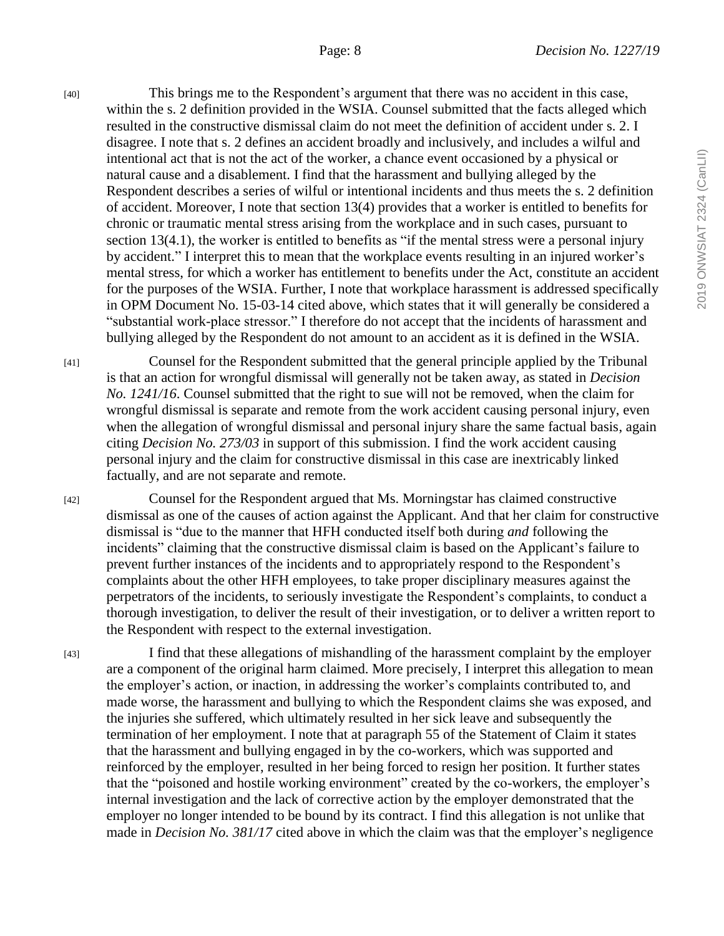2019 ONWSIAT 2324 (CanLII) 2019 ONWSIAT 2324 (CanLII)

[40] This brings me to the Respondent's argument that there was no accident in this case, within the s. 2 definition provided in the WSIA. Counsel submitted that the facts alleged which resulted in the constructive dismissal claim do not meet the definition of accident under s. 2. I disagree. I note that s. 2 defines an accident broadly and inclusively, and includes a wilful and intentional act that is not the act of the worker, a chance event occasioned by a physical or natural cause and a disablement. I find that the harassment and bullying alleged by the Respondent describes a series of wilful or intentional incidents and thus meets the s. 2 definition of accident. Moreover, I note that section 13(4) provides that a worker is entitled to benefits for chronic or traumatic mental stress arising from the workplace and in such cases, pursuant to section 13(4.1), the worker is entitled to benefits as "if the mental stress were a personal injury by accident." I interpret this to mean that the workplace events resulting in an injured worker's mental stress, for which a worker has entitlement to benefits under the Act, constitute an accident for the purposes of the WSIA. Further, I note that workplace harassment is addressed specifically in OPM Document No. 15-03-14 cited above, which states that it will generally be considered a "substantial work-place stressor." I therefore do not accept that the incidents of harassment and bullying alleged by the Respondent do not amount to an accident as it is defined in the WSIA.

[41] Counsel for the Respondent submitted that the general principle applied by the Tribunal is that an action for wrongful dismissal will generally not be taken away, as stated in *Decision No. 1241/16*. Counsel submitted that the right to sue will not be removed, when the claim for wrongful dismissal is separate and remote from the work accident causing personal injury, even when the allegation of wrongful dismissal and personal injury share the same factual basis, again citing *Decision No. 273/03* in support of this submission. I find the work accident causing personal injury and the claim for constructive dismissal in this case are inextricably linked factually, and are not separate and remote.

[42] Counsel for the Respondent argued that Ms. Morningstar has claimed constructive dismissal as one of the causes of action against the Applicant. And that her claim for constructive dismissal is "due to the manner that HFH conducted itself both during *and* following the incidents" claiming that the constructive dismissal claim is based on the Applicant's failure to prevent further instances of the incidents and to appropriately respond to the Respondent's complaints about the other HFH employees, to take proper disciplinary measures against the perpetrators of the incidents, to seriously investigate the Respondent's complaints, to conduct a thorough investigation, to deliver the result of their investigation, or to deliver a written report to the Respondent with respect to the external investigation.

[43] I find that these allegations of mishandling of the harassment complaint by the employer are a component of the original harm claimed. More precisely, I interpret this allegation to mean the employer's action, or inaction, in addressing the worker's complaints contributed to, and made worse, the harassment and bullying to which the Respondent claims she was exposed, and the injuries she suffered, which ultimately resulted in her sick leave and subsequently the termination of her employment. I note that at paragraph 55 of the Statement of Claim it states that the harassment and bullying engaged in by the co-workers, which was supported and reinforced by the employer, resulted in her being forced to resign her position. It further states that the "poisoned and hostile working environment" created by the co-workers, the employer's internal investigation and the lack of corrective action by the employer demonstrated that the employer no longer intended to be bound by its contract. I find this allegation is not unlike that made in *Decision No. 381/17* cited above in which the claim was that the employer's negligence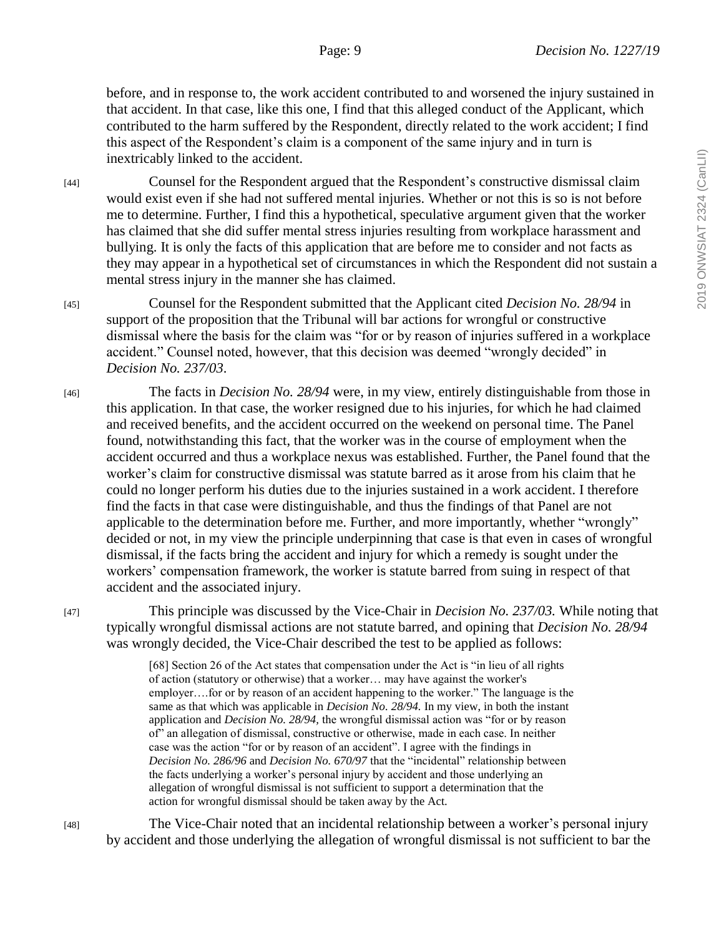before, and in response to, the work accident contributed to and worsened the injury sustained in that accident. In that case, like this one, I find that this alleged conduct of the Applicant, which contributed to the harm suffered by the Respondent, directly related to the work accident; I find this aspect of the Respondent's claim is a component of the same injury and in turn is inextricably linked to the accident.

[44] Counsel for the Respondent argued that the Respondent's constructive dismissal claim would exist even if she had not suffered mental injuries. Whether or not this is so is not before me to determine. Further, I find this a hypothetical, speculative argument given that the worker has claimed that she did suffer mental stress injuries resulting from workplace harassment and bullying. It is only the facts of this application that are before me to consider and not facts as they may appear in a hypothetical set of circumstances in which the Respondent did not sustain a mental stress injury in the manner she has claimed.

[45] Counsel for the Respondent submitted that the Applicant cited *Decision No. 28/94* in support of the proposition that the Tribunal will bar actions for wrongful or constructive dismissal where the basis for the claim was "for or by reason of injuries suffered in a workplace accident." Counsel noted, however, that this decision was deemed "wrongly decided" in *Decision No. 237/03*.

[46] The facts in *Decision No. 28/94* were, in my view, entirely distinguishable from those in this application. In that case, the worker resigned due to his injuries, for which he had claimed and received benefits, and the accident occurred on the weekend on personal time. The Panel found, notwithstanding this fact, that the worker was in the course of employment when the accident occurred and thus a workplace nexus was established. Further, the Panel found that the worker's claim for constructive dismissal was statute barred as it arose from his claim that he could no longer perform his duties due to the injuries sustained in a work accident. I therefore find the facts in that case were distinguishable, and thus the findings of that Panel are not applicable to the determination before me. Further, and more importantly, whether "wrongly" decided or not, in my view the principle underpinning that case is that even in cases of wrongful dismissal, if the facts bring the accident and injury for which a remedy is sought under the workers' compensation framework, the worker is statute barred from suing in respect of that accident and the associated injury.

[47] This principle was discussed by the Vice-Chair in *Decision No. 237/03.* While noting that typically wrongful dismissal actions are not statute barred, and opining that *Decision No. 28/94*  was wrongly decided, the Vice-Chair described the test to be applied as follows:

> [68] Section 26 of the Act states that compensation under the Act is "in lieu of all rights of action (statutory or otherwise) that a worker… may have against the worker's employer….for or by reason of an accident happening to the worker." The language is the same as that which was applicable in *Decision No. 28/94.* In my view, in both the instant application and *Decision No. 28/94,* the wrongful dismissal action was "for or by reason of" an allegation of dismissal, constructive or otherwise, made in each case. In neither case was the action "for or by reason of an accident". I agree with the findings in *Decision No. 286/96* and *Decision No. 670/97* that the "incidental" relationship between the facts underlying a worker's personal injury by accident and those underlying an allegation of wrongful dismissal is not sufficient to support a determination that the action for wrongful dismissal should be taken away by the Act.

[48] The Vice-Chair noted that an incidental relationship between a worker's personal injury by accident and those underlying the allegation of wrongful dismissal is not sufficient to bar the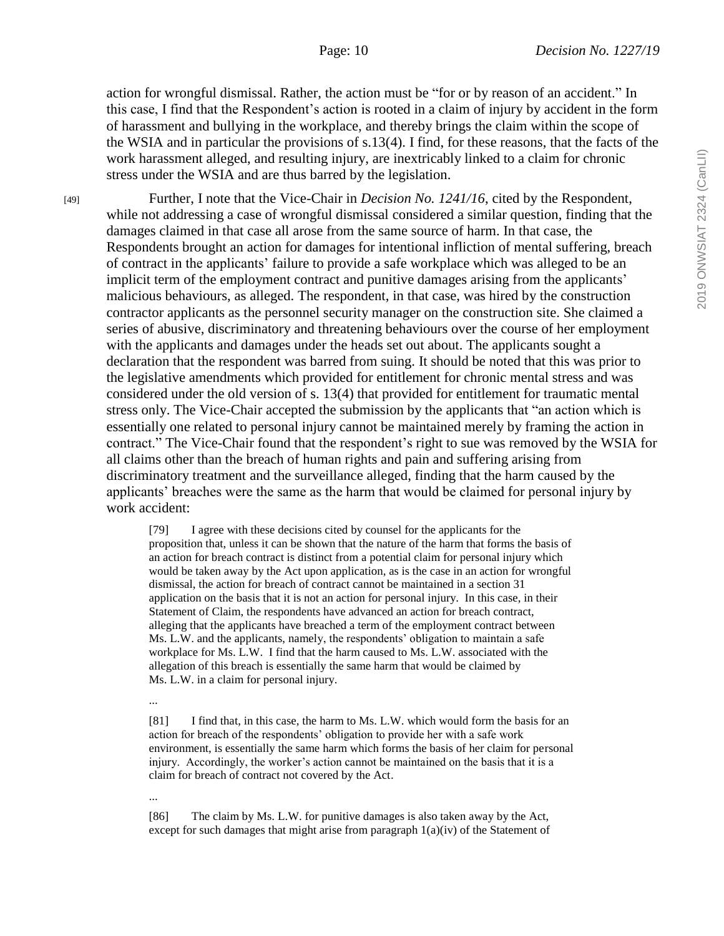action for wrongful dismissal. Rather, the action must be "for or by reason of an accident." In this case, I find that the Respondent's action is rooted in a claim of injury by accident in the form of harassment and bullying in the workplace, and thereby brings the claim within the scope of the WSIA and in particular the provisions of s.13(4). I find, for these reasons, that the facts of the work harassment alleged, and resulting injury, are inextricably linked to a claim for chronic stress under the WSIA and are thus barred by the legislation.

[49] Further, I note that the Vice-Chair in *Decision No. 1241/16*, cited by the Respondent, while not addressing a case of wrongful dismissal considered a similar question, finding that the damages claimed in that case all arose from the same source of harm. In that case, the Respondents brought an action for damages for intentional infliction of mental suffering, breach of contract in the applicants' failure to provide a safe workplace which was alleged to be an implicit term of the employment contract and punitive damages arising from the applicants' malicious behaviours, as alleged. The respondent, in that case, was hired by the construction contractor applicants as the personnel security manager on the construction site. She claimed a series of abusive, discriminatory and threatening behaviours over the course of her employment with the applicants and damages under the heads set out about. The applicants sought a declaration that the respondent was barred from suing. It should be noted that this was prior to the legislative amendments which provided for entitlement for chronic mental stress and was considered under the old version of s. 13(4) that provided for entitlement for traumatic mental stress only. The Vice-Chair accepted the submission by the applicants that "an action which is essentially one related to personal injury cannot be maintained merely by framing the action in contract." The Vice-Chair found that the respondent's right to sue was removed by the WSIA for all claims other than the breach of human rights and pain and suffering arising from discriminatory treatment and the surveillance alleged, finding that the harm caused by the applicants' breaches were the same as the harm that would be claimed for personal injury by work accident:

> [79] I agree with these decisions cited by counsel for the applicants for the proposition that, unless it can be shown that the nature of the harm that forms the basis of an action for breach contract is distinct from a potential claim for personal injury which would be taken away by the Act upon application, as is the case in an action for wrongful dismissal, the action for breach of contract cannot be maintained in a section 31 application on the basis that it is not an action for personal injury. In this case, in their Statement of Claim, the respondents have advanced an action for breach contract, alleging that the applicants have breached a term of the employment contract between Ms. L.W. and the applicants, namely, the respondents' obligation to maintain a safe workplace for Ms. L.W. I find that the harm caused to Ms. L.W. associated with the allegation of this breach is essentially the same harm that would be claimed by Ms. L.W. in a claim for personal injury.

...

[81] I find that, in this case, the harm to Ms. L.W. which would form the basis for an action for breach of the respondents' obligation to provide her with a safe work environment, is essentially the same harm which forms the basis of her claim for personal injury. Accordingly, the worker's action cannot be maintained on the basis that it is a claim for breach of contract not covered by the Act.

...

[86] The claim by Ms. L.W. for punitive damages is also taken away by the Act, except for such damages that might arise from paragraph  $1(a)(iv)$  of the Statement of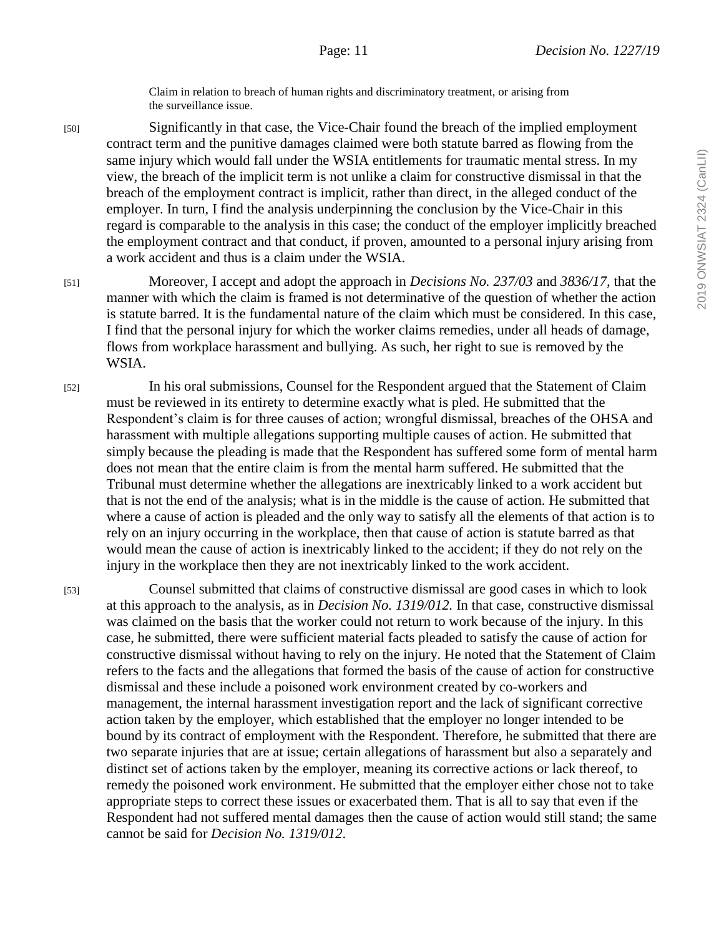Claim in relation to breach of human rights and discriminatory treatment, or arising from the surveillance issue.

[50] Significantly in that case, the Vice-Chair found the breach of the implied employment contract term and the punitive damages claimed were both statute barred as flowing from the same injury which would fall under the WSIA entitlements for traumatic mental stress. In my view, the breach of the implicit term is not unlike a claim for constructive dismissal in that the breach of the employment contract is implicit, rather than direct, in the alleged conduct of the employer. In turn, I find the analysis underpinning the conclusion by the Vice-Chair in this regard is comparable to the analysis in this case; the conduct of the employer implicitly breached the employment contract and that conduct, if proven, amounted to a personal injury arising from a work accident and thus is a claim under the WSIA.

[51] Moreover, I accept and adopt the approach in *Decisions No. 237/03* and *3836/17,* that the manner with which the claim is framed is not determinative of the question of whether the action is statute barred. It is the fundamental nature of the claim which must be considered. In this case, I find that the personal injury for which the worker claims remedies, under all heads of damage, flows from workplace harassment and bullying. As such, her right to sue is removed by the WSIA.

[52] In his oral submissions, Counsel for the Respondent argued that the Statement of Claim must be reviewed in its entirety to determine exactly what is pled. He submitted that the Respondent's claim is for three causes of action; wrongful dismissal, breaches of the OHSA and harassment with multiple allegations supporting multiple causes of action. He submitted that simply because the pleading is made that the Respondent has suffered some form of mental harm does not mean that the entire claim is from the mental harm suffered. He submitted that the Tribunal must determine whether the allegations are inextricably linked to a work accident but that is not the end of the analysis; what is in the middle is the cause of action. He submitted that where a cause of action is pleaded and the only way to satisfy all the elements of that action is to rely on an injury occurring in the workplace, then that cause of action is statute barred as that would mean the cause of action is inextricably linked to the accident; if they do not rely on the injury in the workplace then they are not inextricably linked to the work accident.

[53] Counsel submitted that claims of constructive dismissal are good cases in which to look at this approach to the analysis, as in *Decision No. 1319/012.* In that case, constructive dismissal was claimed on the basis that the worker could not return to work because of the injury. In this case, he submitted, there were sufficient material facts pleaded to satisfy the cause of action for constructive dismissal without having to rely on the injury. He noted that the Statement of Claim refers to the facts and the allegations that formed the basis of the cause of action for constructive dismissal and these include a poisoned work environment created by co-workers and management, the internal harassment investigation report and the lack of significant corrective action taken by the employer, which established that the employer no longer intended to be bound by its contract of employment with the Respondent. Therefore, he submitted that there are two separate injuries that are at issue; certain allegations of harassment but also a separately and distinct set of actions taken by the employer, meaning its corrective actions or lack thereof, to remedy the poisoned work environment. He submitted that the employer either chose not to take appropriate steps to correct these issues or exacerbated them. That is all to say that even if the Respondent had not suffered mental damages then the cause of action would still stand; the same cannot be said for *Decision No. 1319/012*.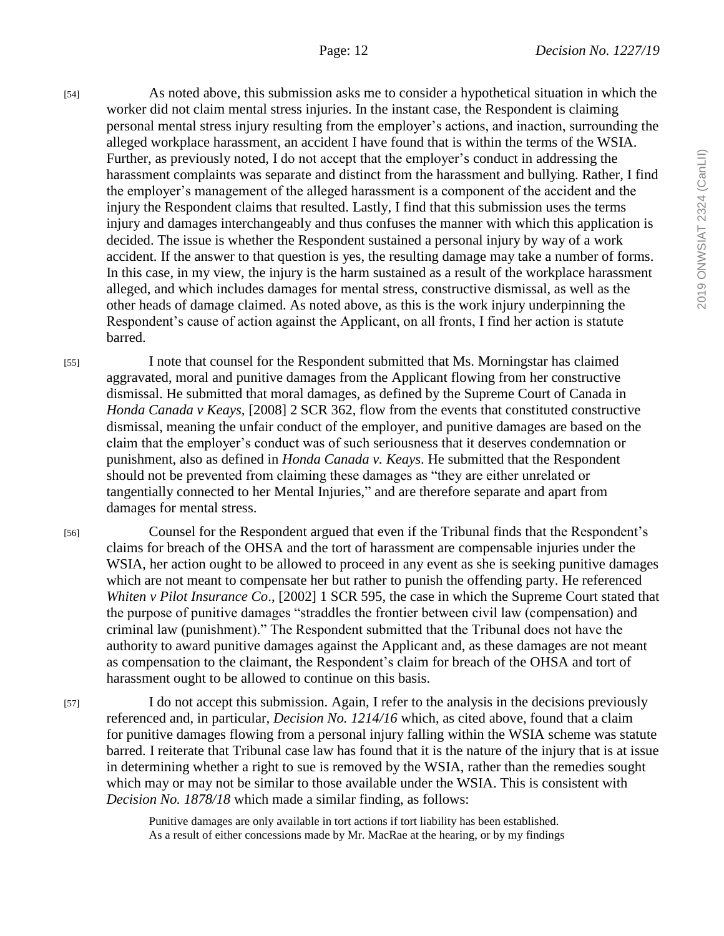2019 ONWSIAT 2324 (CanLII) 2019 ONWSIAT 2324 (CanLII)

[54] As noted above, this submission asks me to consider a hypothetical situation in which the worker did not claim mental stress injuries. In the instant case, the Respondent is claiming personal mental stress injury resulting from the employer's actions, and inaction, surrounding the alleged workplace harassment, an accident I have found that is within the terms of the WSIA. Further, as previously noted, I do not accept that the employer's conduct in addressing the harassment complaints was separate and distinct from the harassment and bullying. Rather, I find the employer's management of the alleged harassment is a component of the accident and the injury the Respondent claims that resulted. Lastly, I find that this submission uses the terms injury and damages interchangeably and thus confuses the manner with which this application is decided. The issue is whether the Respondent sustained a personal injury by way of a work accident. If the answer to that question is yes, the resulting damage may take a number of forms. In this case, in my view, the injury is the harm sustained as a result of the workplace harassment alleged, and which includes damages for mental stress, constructive dismissal, as well as the other heads of damage claimed. As noted above, as this is the work injury underpinning the Respondent's cause of action against the Applicant, on all fronts, I find her action is statute barred.

[55] I note that counsel for the Respondent submitted that Ms. Morningstar has claimed aggravated, moral and punitive damages from the Applicant flowing from her constructive dismissal. He submitted that moral damages, as defined by the Supreme Court of Canada in *Honda Canada v Keays,* [2008] 2 SCR 362, flow from the events that constituted constructive dismissal, meaning the unfair conduct of the employer, and punitive damages are based on the claim that the employer's conduct was of such seriousness that it deserves condemnation or punishment, also as defined in *Honda Canada v. Keays*. He submitted that the Respondent should not be prevented from claiming these damages as "they are either unrelated or tangentially connected to her Mental Injuries," and are therefore separate and apart from damages for mental stress.

[56] Counsel for the Respondent argued that even if the Tribunal finds that the Respondent's claims for breach of the OHSA and the tort of harassment are compensable injuries under the WSIA, her action ought to be allowed to proceed in any event as she is seeking punitive damages which are not meant to compensate her but rather to punish the offending party. He referenced *Whiten v Pilot Insurance Co*., [2002] 1 SCR 595, the case in which the Supreme Court stated that the purpose of punitive damages "straddles the frontier between civil law (compensation) and criminal law (punishment)." The Respondent submitted that the Tribunal does not have the authority to award punitive damages against the Applicant and, as these damages are not meant as compensation to the claimant, the Respondent's claim for breach of the OHSA and tort of harassment ought to be allowed to continue on this basis.

[57] I do not accept this submission. Again, I refer to the analysis in the decisions previously referenced and, in particular, *Decision No. 1214/16* which, as cited above, found that a claim for punitive damages flowing from a personal injury falling within the WSIA scheme was statute barred. I reiterate that Tribunal case law has found that it is the nature of the injury that is at issue in determining whether a right to sue is removed by the WSIA, rather than the remedies sought which may or may not be similar to those available under the WSIA. This is consistent with *Decision No. 1878/18* which made a similar finding, as follows:

> Punitive damages are only available in tort actions if tort liability has been established. As a result of either concessions made by Mr. MacRae at the hearing, or by my findings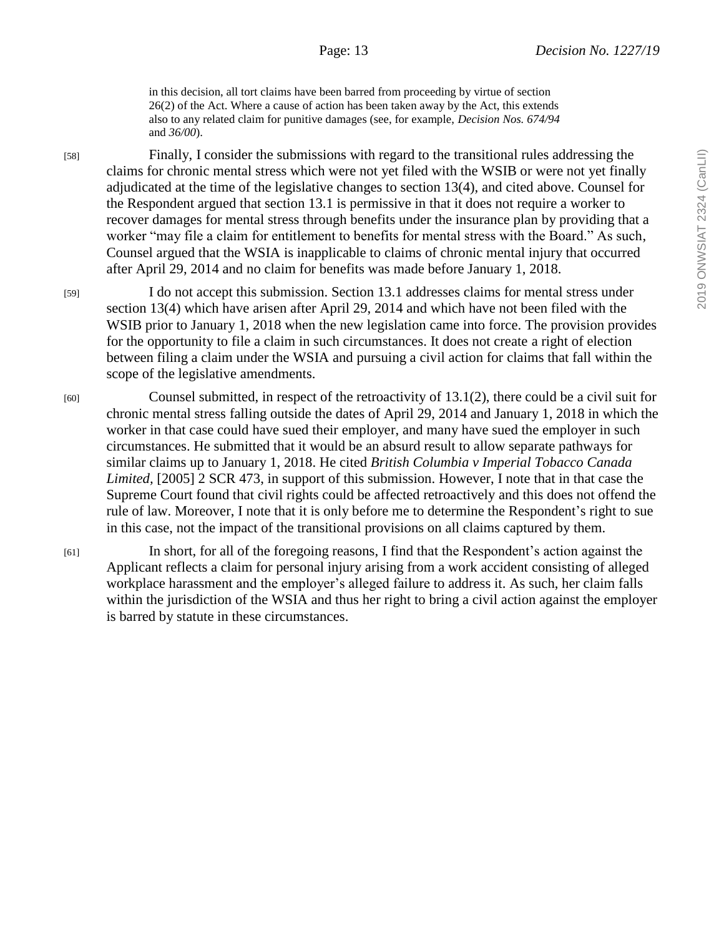in this decision, all tort claims have been barred from proceeding by virtue of section 26(2) of the Act. Where a cause of action has been taken away by the Act, this extends also to any related claim for punitive damages (see, for example, *Decision Nos. 674/94*  and *36/00*).

[58] Finally, I consider the submissions with regard to the transitional rules addressing the claims for chronic mental stress which were not yet filed with the WSIB or were not yet finally adjudicated at the time of the legislative changes to section 13(4), and cited above. Counsel for the Respondent argued that section 13.1 is permissive in that it does not require a worker to recover damages for mental stress through benefits under the insurance plan by providing that a worker "may file a claim for entitlement to benefits for mental stress with the Board." As such, Counsel argued that the WSIA is inapplicable to claims of chronic mental injury that occurred after April 29, 2014 and no claim for benefits was made before January 1, 2018.

[59] I do not accept this submission. Section 13.1 addresses claims for mental stress under section 13(4) which have arisen after April 29, 2014 and which have not been filed with the WSIB prior to January 1, 2018 when the new legislation came into force. The provision provides for the opportunity to file a claim in such circumstances. It does not create a right of election between filing a claim under the WSIA and pursuing a civil action for claims that fall within the scope of the legislative amendments.

[60] Counsel submitted, in respect of the retroactivity of 13.1(2), there could be a civil suit for chronic mental stress falling outside the dates of April 29, 2014 and January 1, 2018 in which the worker in that case could have sued their employer, and many have sued the employer in such circumstances. He submitted that it would be an absurd result to allow separate pathways for similar claims up to January 1, 2018. He cited *British Columbia v Imperial Tobacco Canada Limited,* [2005] 2 SCR 473, in support of this submission. However, I note that in that case the Supreme Court found that civil rights could be affected retroactively and this does not offend the rule of law. Moreover, I note that it is only before me to determine the Respondent's right to sue in this case, not the impact of the transitional provisions on all claims captured by them.

[61] In short, for all of the foregoing reasons, I find that the Respondent's action against the Applicant reflects a claim for personal injury arising from a work accident consisting of alleged workplace harassment and the employer's alleged failure to address it. As such, her claim falls within the jurisdiction of the WSIA and thus her right to bring a civil action against the employer is barred by statute in these circumstances.